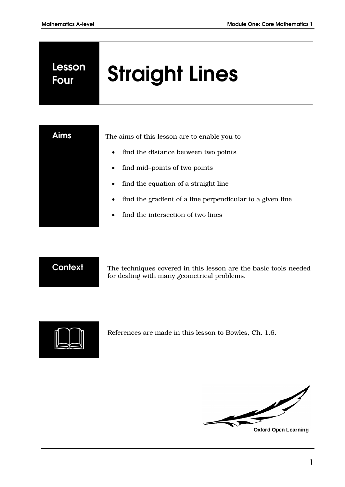# **Lesson**

# **Four Straight Lines**



Aims The aims of this lesson are to enable you to

- find the distance between two points
- find mid–points of two points
- find the equation of a straight line
- find the gradient of a line perpendicular to a given line
- find the intersection of two lines

**Context** The techniques covered in this lesson are the basic tools needed for dealing with many geometrical problems.



References are made in this lesson to Bowles, Ch. 1.6.

f

**Oxford Open Learning**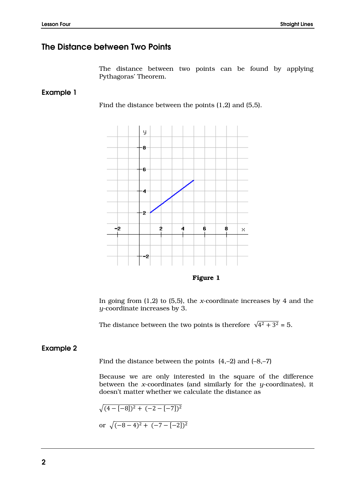#### **The Distance between Two Points**

The distance between two points can be found by applying Pythagoras' Theorem.

**Example 1** 

Find the distance between the points (1,2) and (5,5).



**Figure 1**

In going from (1,2) to (5,5), the *x*-coordinate increases by 4 and the *y*-coordinate increases by 3.

The distance between the two points is therefore  $\sqrt{4^2 + 3^2} = 5$ .

#### **Example 2**

Find the distance between the points  $(4,-2)$  and  $(-8,-7)$ 

Because we are only interested in the square of the difference between the *x*-coordinates (and similarly for the *y*-coordinates), it doesn't matter whether we calculate the distance as

$$
\sqrt{(4 - [-8])^2 + (-2 - [-7])^2}
$$
  
or 
$$
\sqrt{(-8 - 4)^2 + (-7 - [-2])^2}
$$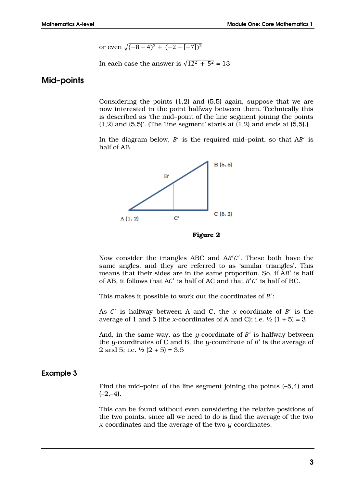or even 
$$
\sqrt{(-8-4)^2 + (-2-(-7))^2}
$$

In each case the answer is  $\sqrt{12^2 + 5^2} = 13$ 

#### **Mid–points**

Considering the points (1,2) and (5,5) again, suppose that we are now interested in the point halfway between them. Technically this is described as 'the mid–point of the line segment joining the points  $(1,2)$  and  $(5,5)$ . (The 'line segment' starts at  $(1,2)$  and ends at  $(5,5)$ .)

In the diagram below,  $B'$  is the required mid-point, so that  $AB'$  is half of AB.



**Figure 2**

Now consider the triangles ABC and  $AB'C'$ . These both have the same angles, and they are referred to as 'similar triangles'. This means that their sides are in the same proportion. So, if AB' is half of AB, it follows that  $AC'$  is half of AC and that  $B'C'$  is half of BC.

This makes it possible to work out the coordinates of  $B'$ :

As  $C'$  is halfway between A and C, the  $x$  coordinate of  $B'$  is the average of 1 and 5 (the *x*-coordinates of A and C); i.e.  $\frac{1}{2}$  (1 + 5) = 3

And, in the same way, as the  $y$ -coordinate of  $B'$  is halfway between the *y*-coordinates of C and B, the *y*-coordinate of  $B'$  is the average of 2 and 5; i.e.  $\frac{1}{2}$  (2 + 5) = 3.5

#### **Example 3**

Find the mid–point of the line segment joining the points (–5,4) and  $(-2,-4)$ .

This can be found without even considering the relative positions of the two points, since all we need to do is find the average of the two *x*-coordinates and the average of the two *y*-coordinates.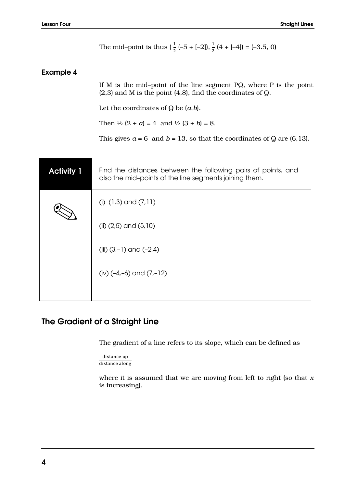|                   | The mid-point is thus $(\frac{1}{2}(-5 + [-2]), \frac{1}{2}(4 + [-4]) = (-3.5, 0)$                                                    |  |
|-------------------|---------------------------------------------------------------------------------------------------------------------------------------|--|
| <b>Example 4</b>  |                                                                                                                                       |  |
|                   | If M is the mid-point of the line segment PQ, where P is the point<br>$(2,3)$ and M is the point $(4,8)$ , find the coordinates of Q. |  |
|                   | Let the coordinates of $Q$ be $(a,b)$ .                                                                                               |  |
|                   | Then $\frac{1}{2}$ (2 + a) = 4 and $\frac{1}{2}$ (3 + b) = 8.                                                                         |  |
|                   | This gives $a = 6$ and $b = 13$ , so that the coordinates of Q are (6,13).                                                            |  |
|                   |                                                                                                                                       |  |
| <b>Activity 1</b> | Find the distances between the following pairs of points, and<br>also the mid-points of the line segments joining them.               |  |
|                   | (i) $(1,3)$ and $(7,11)$                                                                                                              |  |
|                   | (ii) $(2,5)$ and $(5,10)$                                                                                                             |  |
|                   | (iii) $(3,-1)$ and $(-2,4)$                                                                                                           |  |
|                   | (iv) $(-4,-6)$ and $(7,-12)$                                                                                                          |  |
|                   |                                                                                                                                       |  |

# **The Gradient of a Straight Line**

The gradient of a line refers to its slope, which can be defined as

```
distance up
distance along
```
where it is assumed that we are moving from left to right (so that *x* is increasing).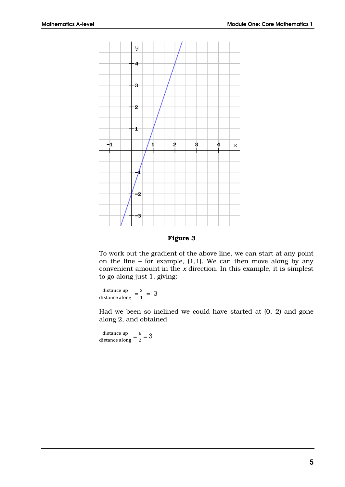

**Figure 3**

To work out the gradient of the above line, we can start at any point on the line – for example,  $(1,1)$ . We can then move along by any convenient amount in the *x* direction. In this example, it is simplest to go along just 1, giving:

 $\frac{\text{distance up}}{\text{distance along}} = \frac{3}{1}$  $\frac{3}{1}$  = 3

Had we been so inclined we could have started at (0,–2) and gone along 2, and obtained

 $\frac{\text{distance up}}{\text{distance along}} = \frac{6}{2}$  $\frac{8}{2}$  = 3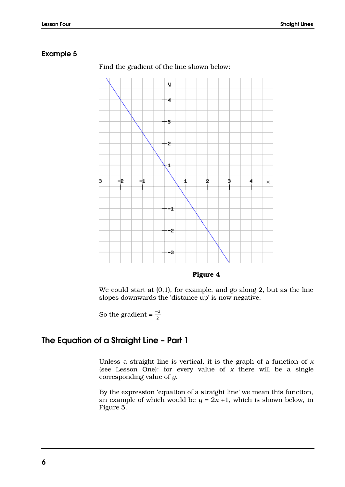#### **Example 5**



Find the gradient of the line shown below:

**Figure 4**

We could start at (0,1), for example, and go along 2, but as the line slopes downwards the 'distance up' is now negative.

So the gradient =  $\frac{-3}{2}$ 

#### **The Equation of a Straight Line – Part 1**

Unless a straight line is vertical, it is the graph of a function of *x* (see Lesson One): for every value of *x* there will be a single corresponding value of *y*.

By the expression 'equation of a straight line' we mean this function, an example of which would be  $y = 2x + 1$ , which is shown below, in Figure 5.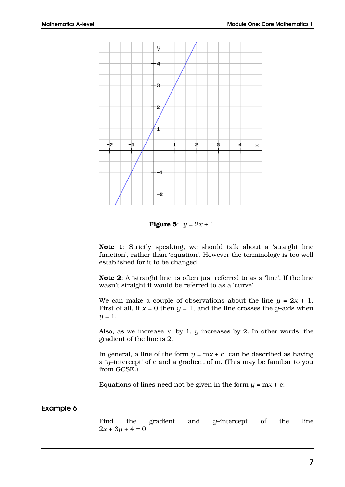

**Figure 5**:  $y = 2x + 1$ 

**Note 1**: Strictly speaking, we should talk about a 'straight line function', rather than 'equation'. However the terminology is too well established for it to be changed.

**Note 2**: A 'straight line' is often just referred to as a 'line'. If the line wasn't straight it would be referred to as a 'curve'.

We can make a couple of observations about the line  $y = 2x + 1$ . First of all, if  $x = 0$  then  $y = 1$ , and the line crosses the *y*–axis when  $y = 1$ .

Also, as we increase  $x$  by 1,  $y$  increases by 2. In other words, the gradient of the line is 2.

In general, a line of the form  $y = mx + c$  can be described as having a '*y*–intercept' of c and a gradient of m. (This may be familiar to you from GCSE.)

Equations of lines need not be given in the form  $y = mx + c$ :

#### **Example 6**

Find the gradient and *y*–intercept of the line  $2x + 3y + 4 = 0$ .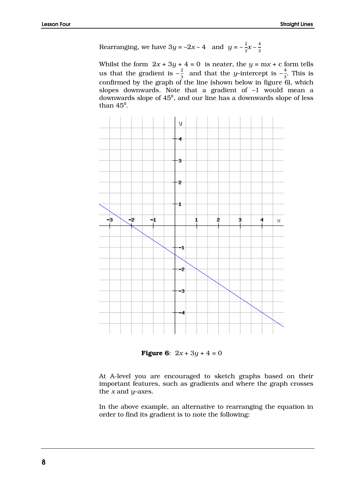Rearranging, we have 
$$
3y = -2x - 4
$$
 and  $y = -\frac{2}{3}x - \frac{4}{3}$ 

Whilst the form  $2x + 3y + 4 = 0$  is neater, the  $y = mx + c$  form tells us that the gradient is  $-\frac{2}{3}$  $\frac{2}{3}$  and that the *y*-intercept is  $-\frac{4}{3}$  $rac{4}{3}$ . This is confirmed by the graph of the line (shown below in figure 6), which slopes downwards. Note that a gradient of –1 would mean a downwards slope of  $45^{\circ}$ , and our line has a downwards slope of less than  $45^\circ$ .



**Figure 6:**  $2x + 3y + 4 = 0$ 

At A-level you are encouraged to sketch graphs based on their important features, such as gradients and where the graph crosses the *x* and *y*–axes.

In the above example, an alternative to rearranging the equation in order to find its gradient is to note the following: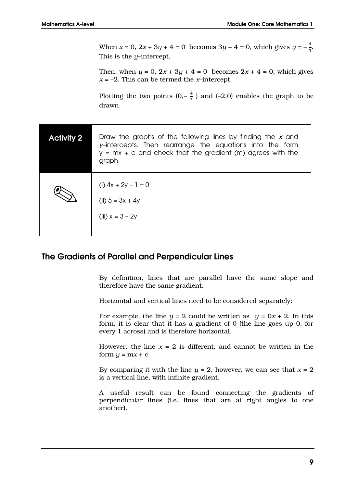When  $x = 0$ ,  $2x + 3y + 4 = 0$  becomes  $3y + 4 = 0$ , which gives  $y = -\frac{4}{3}$  $\frac{4}{3}$ . This is the *y*–intercept.

Then, when  $y = 0$ ,  $2x + 3y + 4 = 0$  becomes  $2x + 4 = 0$ , which gives  $x = -2$ . This can be termed the *x*–intercept.

Plotting the two points  $(0,-\frac{4}{3})$  $\frac{4}{3}$ ) and (-2,0) enables the graph to be drawn.

| <b>Activity 2</b> | Draw the graphs of the following lines by finding the x and<br>y-intercepts. Then rearrange the equations into the form<br>$y = mx + c$ and check that the gradient (m) agrees with the<br>graph. |
|-------------------|---------------------------------------------------------------------------------------------------------------------------------------------------------------------------------------------------|
|                   | (i) $4x + 2y - 1 = 0$<br>(ii) $5 = 3x + 4y$<br>(iii) $x = 3 - 2y$                                                                                                                                 |

#### **The Gradients of Parallel and Perpendicular Lines**

By definition, lines that are parallel have the same slope and therefore have the same gradient.

Horizontal and vertical lines need to be considered separately:

For example, the line  $y = 2$  could be written as  $y = 0x + 2$ . In this form, it is clear that it has a gradient of 0 (the line goes up 0, for every 1 across) and is therefore horizontal.

However, the line  $x = 2$  is different, and cannot be written in the form  $y = mx + c$ .

By comparing it with the line  $y = 2$ , however, we can see that  $x = 2$ is a vertical line, with infinite gradient.

A useful result can be found connecting the gradients of perpendicular lines (i.e. lines that are at right angles to one another).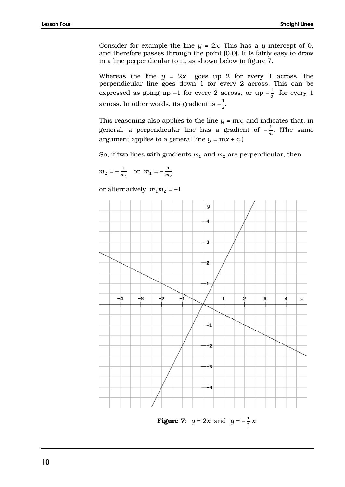Consider for example the line  $y = 2x$ . This has a *y*–intercept of 0, and therefore passes through the point (0,0). It is fairly easy to draw in a line perpendicular to it, as shown below in figure 7.

Whereas the line  $y = 2x$  goes up 2 for every 1 across, the perpendicular line goes down 1 for every 2 across. This can be expressed as going up  $-1$  for every 2 across, or up  $-\frac{1}{3}$  $rac{1}{2}$  for every 1 across. In other words, its gradient is  $-\frac{1}{3}$  $\frac{1}{2}$ .

This reasoning also applies to the line  $y = mx$ , and indicates that, in general, a perpendicular line has a gradient of  $-\frac{1}{\alpha}$  $\frac{1}{m}$ . (The same argument applies to a general line  $y = mx + c$ .

So, if two lines with gradients  $m_1$  and  $m_2$  are perpendicular, then

$$
m_2 = -\frac{1}{m_1}
$$
 or  $m_1 = -\frac{1}{m_2}$ 

or alternatively  $m_1 m_2 = -1$ 



**Figure 7:**  $y = 2x$  and  $y = -\frac{1}{2}$  $rac{1}{2}x$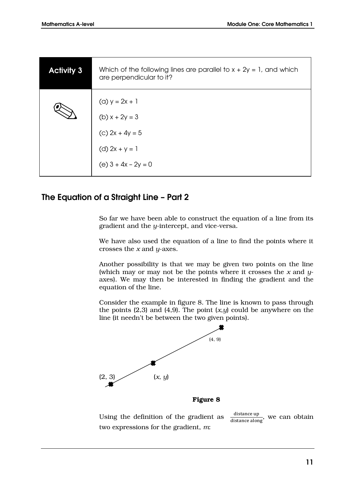| <b>Activity 3</b> | Which of the following lines are parallel to $x + 2y = 1$ , and which<br>are perpendicular to it? |
|-------------------|---------------------------------------------------------------------------------------------------|
|                   | (a) $y = 2x + 1$                                                                                  |
|                   | (b) $x + 2y = 3$                                                                                  |
|                   | (c) $2x + 4y = 5$                                                                                 |
|                   | (d) $2x + y = 1$                                                                                  |
|                   | (e) $3 + 4x - 2y = 0$                                                                             |

## **The Equation of a Straight Line – Part 2**

So far we have been able to construct the equation of a line from its gradient and the *y*-intercept, and vice-versa.

We have also used the equation of a line to find the points where it crosses the *x* and *y*-axes.

Another possibility is that we may be given two points on the line (which may or may not be the points where it crosses the *x* and *y*axes). We may then be interested in finding the gradient and the equation of the line.

Consider the example in figure 8. The line is known to pass through the points  $(2,3)$  and  $(4,9)$ . The point  $(x,y)$  could be anywhere on the line (it needn't be between the two given points).



**Figure 8**

Using the definition of the gradient as  $\frac{1}{\text{distance along}}$ , we can obtain two expressions for the gradient, *m*: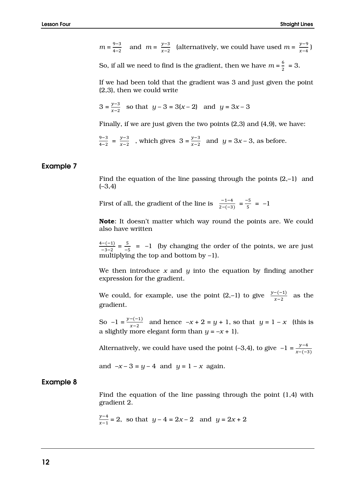$$
m = \frac{9-3}{4-2}
$$
 and  $m = \frac{y-3}{x-2}$  (alternatively, we could have used  $m = \frac{y-9}{x-4}$ )

So, if all we need to find is the gradient, then we have  $m = \frac{6}{3}$  $\frac{6}{2}$  = 3.

If we had been told that the gradient was 3 and just given the point (2,3), then we could write

$$
3 = \frac{y-3}{x-2}
$$
 so that  $y - 3 = 3(x-2)$  and  $y = 3x - 3$ 

Finally, if we are just given the two points (2,3) and (4,9), we have:

$$
\frac{9-3}{4-2} = \frac{y-3}{x-2}
$$
, which gives  $3 = \frac{y-3}{x-2}$  and  $y = 3x - 3$ , as before.

#### **Example 7**

Find the equation of the line passing through the points (2,–1) and  $(-3, 4)$ 

First of all, the gradient of the line is  $\frac{-1-4}{2-(-3)} = \frac{-5}{5}$  $\frac{1}{5}$  =  $-1$ 

**Note**: It doesn't matter which way round the points are. We could also have written

4−(−1)  $\frac{(-(-1))}{(-3-2)} = \frac{5}{-2}$  $\frac{5}{-5}$  = -1 (by changing the order of the points, we are just multiplying the top and bottom by  $-1$ ).

We then introduce *x* and *y* into the equation by finding another expression for the gradient.

We could, for example, use the point  $(2,-1)$  to give  $\frac{y-(-1)}{x-2}$  as the gradient.

So  $-1 = \frac{y - (-1)}{x - 2}$  and hence  $-x + 2 = y + 1$ , so that  $y = 1 - x$  (this is a slightly more elegant form than  $y = -x + 1$ .

Alternatively, we could have used the point (–3,4), to give  $-1 = \frac{y-4}{x-(-3)}$ 

and  $-x-3 = y-4$  and  $y = 1-x$  again.

#### **Example 8**

Find the equation of the line passing through the point (1,4) with gradient 2.

$$
\frac{y-4}{x-1} = 2
$$
, so that  $y - 4 = 2x - 2$  and  $y = 2x + 2$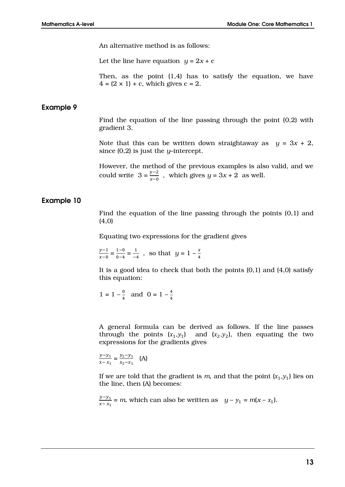An alternative method is as follows:

Let the line have equation  $y = 2x + c$ 

Then, as the point (1,4) has to satisfy the equation, we have  $4 = (2 \times 1) + c$ , which gives  $c = 2$ .

#### **Example 9**

Find the equation of the line passing through the point (0,2) with gradient 3.

Note that this can be written down straightaway as  $y = 3x + 2$ , since (0,2) is just the *y*–intercept.

However, the method of the previous examples is also valid, and we could write  $3 = \frac{y-2}{x-0}$ , which gives  $y = 3x + 2$  as well.

#### **Example 10**

Find the equation of the line passing through the points (0,1) and (4,0)

Equating two expressions for the gradient gives

 $y-1$  $\frac{y-1}{x-0} = \frac{1-0}{0-4}$  $\frac{1-0}{0-4} = \frac{1}{-4}$  $\frac{1}{-4}$ , so that  $y = 1 - \frac{x}{4}$ 4

It is a good idea to check that both the points  $(0,1)$  and  $(4,0)$  satisfy this equation:

$$
1 = 1 - \frac{0}{4}
$$
 and  $0 = 1 - \frac{4}{4}$ 

A general formula can be derived as follows. If the line passes through the points  $(x_1,y_1)$  and  $(x_2,y_2)$ , then equating the two expressions for the gradients gives

$$
\frac{y - y_1}{x - x_1} = \frac{y_2 - y_1}{x_2 - x_1} \quad \text{(A)}
$$

If we are told that the gradient is  $m$ , and that the point  $(x_1,y_1)$  lies on the line, then (A) becomes:

 $y-y_1$  $\frac{y-y_1}{x-x_1}$  = *m*, which can also be written as  $y-y_1 = m(x-x_1)$ .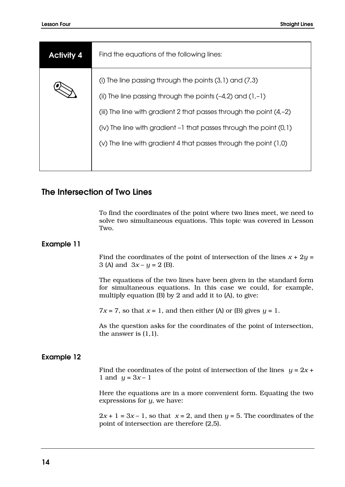| <b>Activity 4</b> | Find the equations of the following lines:                                                                                                                                                                                                                                                                                                                 |
|-------------------|------------------------------------------------------------------------------------------------------------------------------------------------------------------------------------------------------------------------------------------------------------------------------------------------------------------------------------------------------------|
|                   | (i) The line passing through the points $(3,1)$ and $(7,3)$<br>(ii) The line passing through the points $(-4,2)$ and $(1,-1)$<br>(iii) The line with gradient 2 that passes through the point $(4,-2)$<br>$(iv)$ The line with gradient $-1$ that passes through the point $(0,1)$<br>$(v)$ The line with gradient 4 that passes through the point $(1,0)$ |
|                   |                                                                                                                                                                                                                                                                                                                                                            |

## **The Intersection of Two Lines**

To find the coordinates of the point where two lines meet, we need to solve two simultaneous equations. This topic was covered in Lesson Two.

#### **Example 11**

Find the coordinates of the point of intersection of the lines  $x + 2y =$ 3 (A) and  $3x - y = 2$  (B).

The equations of the two lines have been given in the standard form for simultaneous equations. In this case we could, for example, multiply equation (B) by 2 and add it to (A), to give:

 $7x = 7$ , so that  $x = 1$ , and then either (A) or (B) gives  $y = 1$ .

As the question asks for the coordinates of the point of intersection, the answer is (1,1).

#### **Example 12**

Find the coordinates of the point of intersection of the lines  $y = 2x +$ 1 and  $y = 3x - 1$ 

Here the equations are in a more convenient form. Equating the two expressions for *y*, we have:

 $2x + 1 = 3x - 1$ , so that  $x = 2$ , and then  $y = 5$ . The coordinates of the point of intersection are therefore (2,5).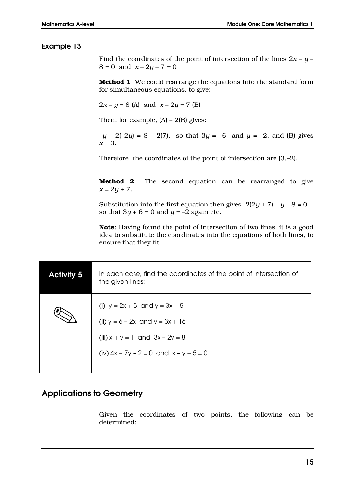#### **Example 13**

Find the coordinates of the point of intersection of the lines  $2x - y 8 = 0$  and  $x - 2y - 7 = 0$ 

**Method 1** We could rearrange the equations into the standard form for simultaneous equations, to give:

 $2x - y = 8$  (A) and  $x - 2y = 7$  (B)

Then, for example,  $(A) - 2(B)$  gives:

–*y* – 2(–2*y*) = 8 – 2(7), so that 3*y* = –6 and *y* = –2, and (B) gives *x* = 3.

Therefore the coordinates of the point of intersection are (3,–2).

**Method 2** The second equation can be rearranged to give  $x = 2y + 7$ .

Substitution into the first equation then gives  $2(2y + 7) - y - 8 = 0$ so that  $3y + 6 = 0$  and  $y = -2$  again etc.

**Note**: Having found the point of intersection of two lines, it is a good idea to substitute the coordinates into the equations of both lines, to ensure that they fit.

| <b>Activity 5</b> | In each case, find the coordinates of the point of intersection of<br>the given lines:                                                                        |
|-------------------|---------------------------------------------------------------------------------------------------------------------------------------------------------------|
|                   | (i) $y = 2x + 5$ and $y = 3x + 5$<br>(ii) $y = 6 - 2x$ and $y = 3x + 16$<br>(iii) $x + y = 1$ and $3x - 2y = 8$<br>(iv) $4x + 7y - 2 = 0$ and $x - y + 5 = 0$ |

## **Applications to Geometry**

Given the coordinates of two points, the following can be determined: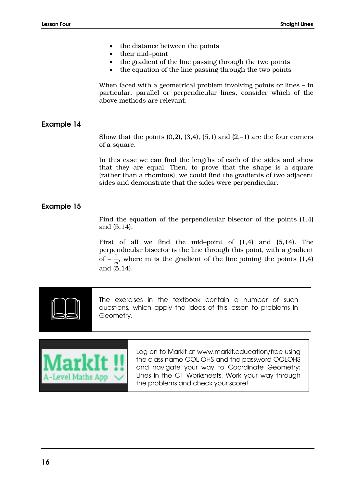- the distance between the points
- their mid–point
- the gradient of the line passing through the two points
- the equation of the line passing through the two points

When faced with a geometrical problem involving points or lines – in particular, parallel or perpendicular lines, consider which of the above methods are relevant.

#### **Example 14**

Show that the points  $(0,2)$ ,  $(3,4)$ ,  $(5,1)$  and  $(2,-1)$  are the four corners of a square.

In this case we can find the lengths of each of the sides and show that they are equal. Then, to prove that the shape is a square (rather than a rhombus), we could find the gradients of two adjacent sides and demonstrate that the sides were perpendicular.

#### **Example 15**

Find the equation of the perpendicular bisector of the points (1,4) and (5,14).

First of all we find the mid-point of  $(1,4)$  and  $(5,14)$ . The perpendicular bisector is the line through this point, with a gradient of  $-\frac{1}{m}$  $\frac{1}{m}$ , where m is the gradient of the line joining the points (1,4) and (5,14).



The exercises in the textbook contain a number of such questions, which apply the ideas of this lesson to problems in Geometry.



Log on to Markit at www.markit.education/free using the class name OOL OHS and the password OOLOHS and navigate your way to Coordinate Geometry: Lines in the C1 Worksheets. Work your way through the problems and check your score!